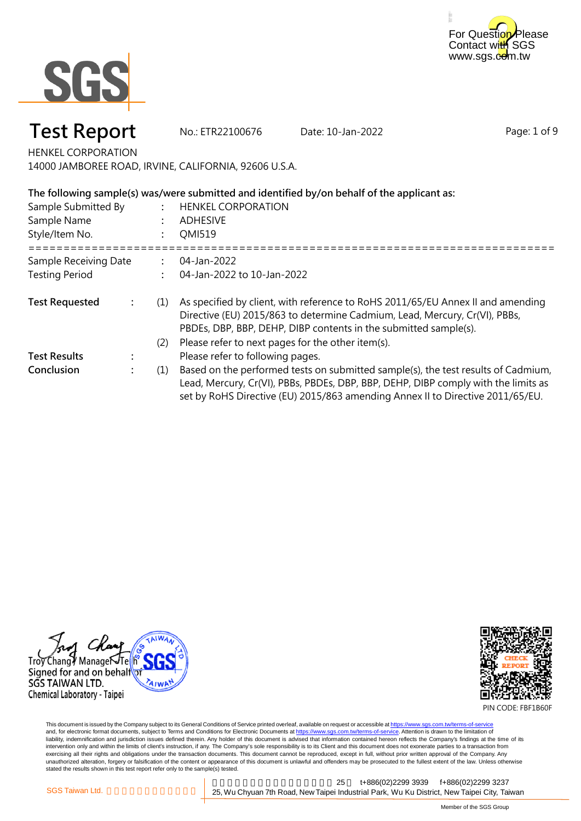



## **Test Report** No.: ETR22100676 Date: 10-Jan-2022

Page: 1 of 9

HENKEL CORPORATION

14000 JAMBOREE ROAD, IRVINE, CALIFORNIA, 92606 U.S.A.

| The following sample(s) was/were submitted and identified by/on behalf of the applicant as: |                      |     |                                                                                                                                                                                                                                                           |  |  |  |
|---------------------------------------------------------------------------------------------|----------------------|-----|-----------------------------------------------------------------------------------------------------------------------------------------------------------------------------------------------------------------------------------------------------------|--|--|--|
| Sample Submitted By                                                                         |                      |     | <b>HENKEL CORPORATION</b>                                                                                                                                                                                                                                 |  |  |  |
| Sample Name                                                                                 |                      |     | <b>ADHESIVE</b>                                                                                                                                                                                                                                           |  |  |  |
| Style/Item No.                                                                              |                      |     | QMI519                                                                                                                                                                                                                                                    |  |  |  |
| Sample Receiving Date                                                                       |                      |     | 04-Jan-2022                                                                                                                                                                                                                                               |  |  |  |
| <b>Testing Period</b>                                                                       |                      |     | 04-Jan-2022 to 10-Jan-2022                                                                                                                                                                                                                                |  |  |  |
| <b>Test Requested</b>                                                                       | $\ddot{\phantom{a}}$ | (1) | As specified by client, with reference to RoHS 2011/65/EU Annex II and amending<br>Directive (EU) 2015/863 to determine Cadmium, Lead, Mercury, Cr(VI), PBBs,<br>PBDEs, DBP, BBP, DEHP, DIBP contents in the submitted sample(s).                         |  |  |  |
|                                                                                             |                      | (2) | Please refer to next pages for the other item(s).                                                                                                                                                                                                         |  |  |  |
| <b>Test Results</b>                                                                         |                      |     | Please refer to following pages.                                                                                                                                                                                                                          |  |  |  |
| Conclusion                                                                                  |                      | (1) | Based on the performed tests on submitted sample(s), the test results of Cadmium,<br>Lead, Mercury, Cr(VI), PBBs, PBDEs, DBP, BBP, DEHP, DIBP comply with the limits as<br>set by RoHS Directive (EU) 2015/863 amending Annex II to Directive 2011/65/EU. |  |  |  |





PIN CODE: FBF1B60F

This document is issued by the Company subject to its General Conditions of Service printed overleaf, available on request or accessible at <u>https://www.sgs.com.tw/terms-of-service</u><br>and, for electronic format documents, su liability, indemnification and jurisdiction issues defined therein. Any holder of this document is advised that information contained hereon reflects the Company's findings at the time of its intervention only and within the limits of client's instruction, if any. The Company's sole responsibility is to its Client and this document does not exonerate parties to a transaction from exercising all their rights and obligations under the transaction documents. This document cannot be reproduced, except in full, without prior written approval of the Company. Any<br>unauthorized alteration, forgery or falsif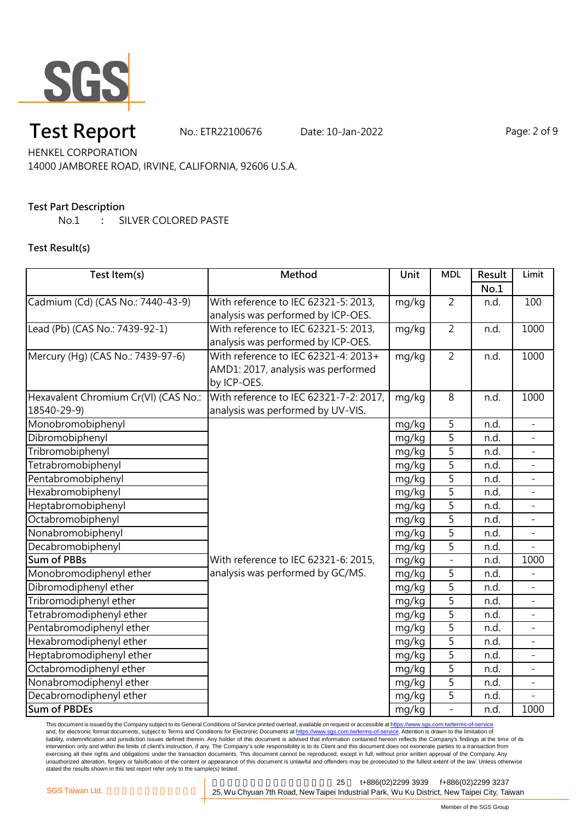

# **Test Report** No.: ETR22100676 Date: 10-Jan-2022 Page: 2 of 9

HENKEL CORPORATION 14000 JAMBOREE ROAD, IRVINE, CALIFORNIA, 92606 U.S.A.

#### **Test Part Description**

No.1 **:** SILVER COLORED PASTE

#### **Test Result(s)**

| Test Item(s)                         | Method                                 | Unit  | <b>MDL</b>     | Result | Limit                    |
|--------------------------------------|----------------------------------------|-------|----------------|--------|--------------------------|
|                                      |                                        |       |                | No.1   |                          |
| Cadmium (Cd) (CAS No.: 7440-43-9)    | With reference to IEC 62321-5: 2013,   | mg/kg | $\overline{2}$ | n.d.   | 100                      |
|                                      | analysis was performed by ICP-OES.     |       |                |        |                          |
| Lead (Pb) (CAS No.: 7439-92-1)       | With reference to IEC 62321-5: 2013,   | mg/kg | $\overline{2}$ | n.d.   | 1000                     |
|                                      | analysis was performed by ICP-OES.     |       |                |        |                          |
| Mercury (Hg) (CAS No.: 7439-97-6)    | With reference to IEC 62321-4: 2013+   | mg/kg | $\overline{2}$ | n.d.   | 1000                     |
|                                      | AMD1: 2017, analysis was performed     |       |                |        |                          |
|                                      | by ICP-OES.                            |       |                |        |                          |
| Hexavalent Chromium Cr(VI) (CAS No.: | With reference to IEC 62321-7-2: 2017, | mg/kg | 8              | n.d.   | 1000                     |
| 18540-29-9)                          | analysis was performed by UV-VIS.      |       |                |        |                          |
| Monobromobiphenyl                    |                                        | mg/kg | 5              | n.d.   | $\overline{\phantom{a}}$ |
| Dibromobiphenyl                      |                                        | mg/kg | $\overline{5}$ | n.d.   | $\equiv$                 |
| Tribromobiphenyl                     |                                        | mg/kg | $\overline{5}$ | n.d.   |                          |
| Tetrabromobiphenyl                   |                                        | mg/kg | $\overline{5}$ | n.d.   |                          |
| Pentabromobiphenyl                   |                                        | mg/kg | $\overline{5}$ | n.d.   | $\blacksquare$           |
| Hexabromobiphenyl                    |                                        | mg/kg | $\overline{5}$ | n.d.   |                          |
| Heptabromobiphenyl                   |                                        | mg/kg | $\overline{5}$ | n.d.   |                          |
| Octabromobiphenyl                    |                                        | mg/kg | 5              | n.d.   |                          |
| Nonabromobiphenyl                    |                                        | mg/kg | $\overline{5}$ | n.d.   | $\overline{\phantom{a}}$ |
| Decabromobiphenyl                    |                                        | mg/kg | $\overline{5}$ | n.d.   |                          |
| <b>Sum of PBBs</b>                   | With reference to IEC 62321-6: 2015,   | mg/kg | $\overline{a}$ | n.d.   | 1000                     |
| Monobromodiphenyl ether              | analysis was performed by GC/MS.       | mg/kg | 5              | n.d.   |                          |
| Dibromodiphenyl ether                |                                        | mg/kg | $\overline{5}$ | n.d.   |                          |
| Tribromodiphenyl ether               |                                        | mg/kg | 5              | n.d.   |                          |
| Tetrabromodiphenyl ether             |                                        | mg/kg | 5              | n.d.   |                          |
| Pentabromodiphenyl ether             |                                        | mg/kg | 5              | n.d.   |                          |
| Hexabromodiphenyl ether              |                                        | mg/kg | $\overline{5}$ | n.d.   | $\frac{1}{2}$            |
| Heptabromodiphenyl ether             |                                        | mg/kg | $\overline{5}$ | n.d.   | $\overline{a}$           |
| Octabromodiphenyl ether              |                                        | mg/kg | $\overline{5}$ | n.d.   |                          |
| Nonabromodiphenyl ether              |                                        | mg/kg | 5              | n.d.   |                          |
| Decabromodiphenyl ether              |                                        | mg/kg | 5              | n.d.   |                          |
| <b>Sum of PBDEs</b>                  |                                        | mg/kg | $\overline{a}$ | n.d.   | 1000                     |

This document is issued by the Company subject to its General Conditions of Service printed overleaf, available on request or accessible at <u>https://www.sgs.com.tw/terms-of-service</u><br>and, for electronic format documents, su liability, indemnification and jurisdiction issues defined therein. Any holder of this document is advised that information contained hereon reflects the Company's findings at the time of its intervention only and within the limits of client's instruction, if any. The Company's sole responsibility is to its Client and this document does not exonerate parties to a transaction from exercising all their rights and obligations under the transaction documents. This document cannot be reproduced, except in full, without prior written approval of the Company. Any<br>unauthorized alteration, forgery or falsif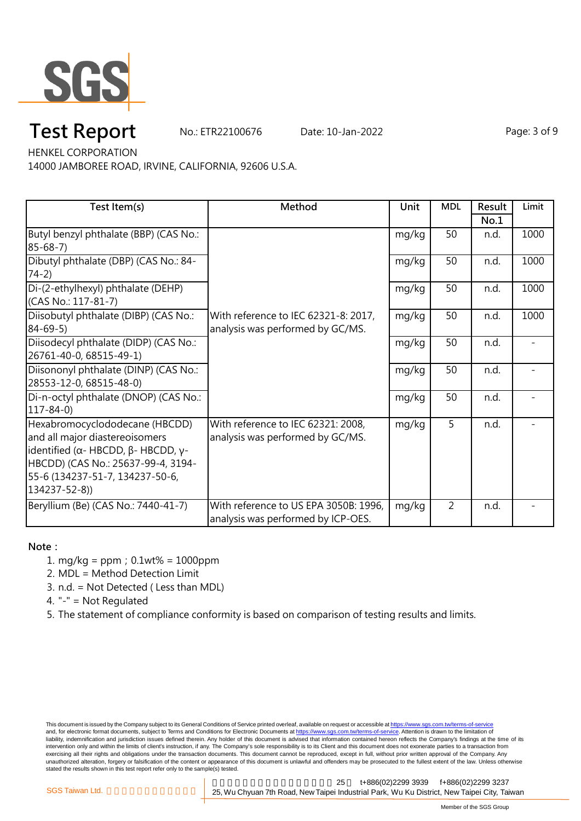

# **Test Report** No.: ETR22100676 Date: 10-Jan-2022 Page: 3 of 9

HENKEL CORPORATION

14000 JAMBOREE ROAD, IRVINE, CALIFORNIA, 92606 U.S.A.

| Test Item(s)                                               | Method                                | Unit  | <b>MDL</b>     | Result | Limit |
|------------------------------------------------------------|---------------------------------------|-------|----------------|--------|-------|
|                                                            |                                       |       |                | No.1   |       |
| Butyl benzyl phthalate (BBP) (CAS No.:                     |                                       | mg/kg | 50             | n.d.   | 1000  |
| $85 - 68 - 7$                                              |                                       |       |                |        |       |
| Dibutyl phthalate (DBP) (CAS No.: 84-                      |                                       | mg/kg | 50             | n.d.   | 1000  |
| $74-2)$                                                    |                                       |       |                |        |       |
| Di-(2-ethylhexyl) phthalate (DEHP)                         |                                       | mg/kg | 50             | n.d.   | 1000  |
| (CAS No.: 117-81-7)                                        |                                       |       |                |        |       |
| Diisobutyl phthalate (DIBP) (CAS No.:                      | With reference to IEC 62321-8: 2017,  | mg/kg | 50             | n.d.   | 1000  |
| $84 - 69 - 5$                                              | analysis was performed by GC/MS.      |       |                |        |       |
| Diisodecyl phthalate (DIDP) (CAS No.:                      |                                       | mg/kg | 50             | n.d.   |       |
| 26761-40-0, 68515-49-1)                                    |                                       |       |                |        |       |
| Diisononyl phthalate (DINP) (CAS No.:                      |                                       | mg/kg | 50             | n.d.   |       |
| 28553-12-0, 68515-48-0)                                    |                                       |       |                |        |       |
| Di-n-octyl phthalate (DNOP) (CAS No.:                      |                                       | mg/kg | 50             | n.d.   |       |
| $117 - 84 - 0$                                             |                                       |       |                |        |       |
| Hexabromocyclododecane (HBCDD)                             | With reference to IEC 62321: 2008,    | mg/kg | 5              | n.d.   |       |
| and all major diastereoisomers                             | analysis was performed by GC/MS.      |       |                |        |       |
| identified ( $\alpha$ - HBCDD, $\beta$ - HBCDD, $\gamma$ - |                                       |       |                |        |       |
| HBCDD) (CAS No.: 25637-99-4, 3194-                         |                                       |       |                |        |       |
| 55-6 (134237-51-7, 134237-50-6,                            |                                       |       |                |        |       |
| 134237-52-8))                                              |                                       |       |                |        |       |
| Beryllium (Be) (CAS No.: 7440-41-7)                        | With reference to US EPA 3050B: 1996, | mg/kg | $\overline{2}$ | n.d.   |       |
|                                                            | analysis was performed by ICP-OES.    |       |                |        |       |

#### **Note:**

1. mg/kg = ppm;0.1wt% = 1000ppm

2. MDL = Method Detection Limit

- 3. n.d. = Not Detected ( Less than MDL)
- 4. "-" = Not Regulated
- 5. The statement of compliance conformity is based on comparison of testing results and limits.

This document is issued by the Company subject to its General Conditions of Service printed overleaf, available on request or accessible at <u>https://www.sgs.com.tw/terms-of-service</u><br>and, for electronic format documents, su liability, indemnification and jurisdiction issues defined therein. Any holder of this document is advised that information contained hereon reflects the Company's findings at the time of its intervention only and within the limits of client's instruction, if any. The Company's sole responsibility is to its Client and this document does not exonerate parties to a transaction from exercising all their rights and obligations under the transaction documents. This document cannot be reproduced, except in full, without prior written approval of the Company. Any<br>unauthorized alteration, forgery or falsif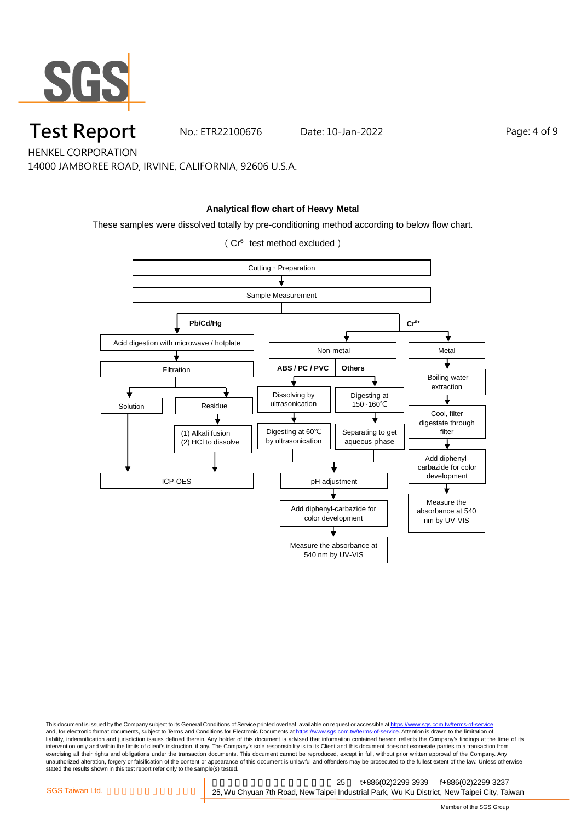

### **Test Report** No.: ETR22100676 Date: 10-Jan-2022 Page: 4 of 9

HENKEL CORPORATION

14000 JAMBOREE ROAD, IRVINE, CALIFORNIA, 92606 U.S.A.

#### **Analytical flow chart of Heavy Metal**

These samples were dissolved totally by pre-conditioning method according to below flow chart.

(Cr6+ test method excluded)



This document is issued by the Company subject to its General Conditions of Service printed overleaf, available on request or accessible at <u>https://www.sgs.com.tw/terms-of-service</u><br>and, for electronic format documents, su liability, indemnification and jurisdiction issues defined therein. Any holder of this document is advised that information contained hereon reflects the Company's findings at the time of its intervention only and within the limits of client's instruction, if any. The Company's sole responsibility is to its Client and this document does not exonerate parties to a transaction from exercising all their rights and obligations under the transaction documents. This document cannot be reproduced, except in full, without prior written approval of the Company. Any<br>unauthorized alteration, forgery or falsif stated the results shown in this test report refer only to the sample(s) tested.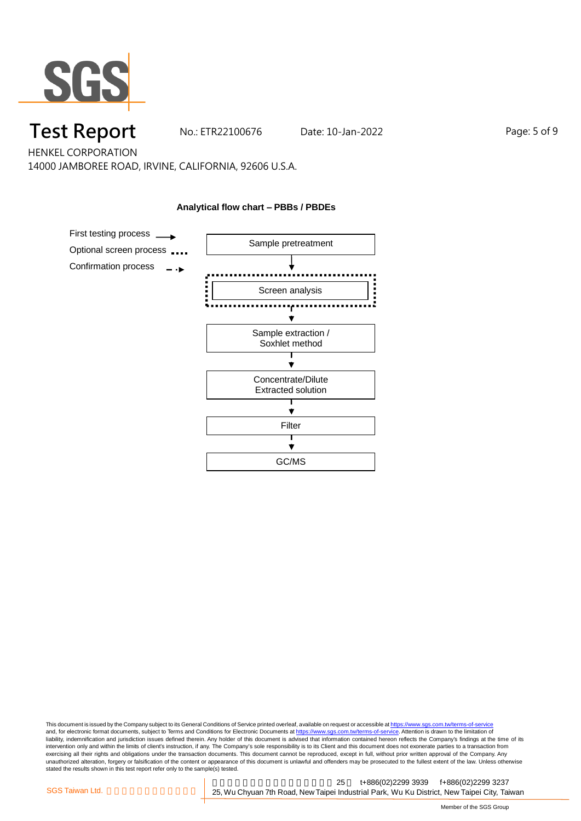

## **Test Report** No.: ETR22100676 Date: 10-Jan-2022 Page: 5 of 9

HENKEL CORPORATION 14000 JAMBOREE ROAD, IRVINE, CALIFORNIA, 92606 U.S.A.

**Analytical flow chart – PBBs / PBDEs**



This document is issued by the Company subject to its General Conditions of Service printed overleaf, available on request or accessible at <u>https://www.sgs.com.tw/terms-of-service</u><br>and, for electronic format documents, su liability, indemnification and jurisdiction issues defined therein. Any holder of this document is advised that information contained hereon reflects the Company's findings at the time of its intervention only and within the limits of client's instruction, if any. The Company's sole responsibility is to its Client and this document does not exonerate parties to a transaction from exercising all their rights and obligations under the transaction documents. This document cannot be reproduced, except in full, without prior written approval of the Company. Any<br>unauthorized alteration, forgery or falsif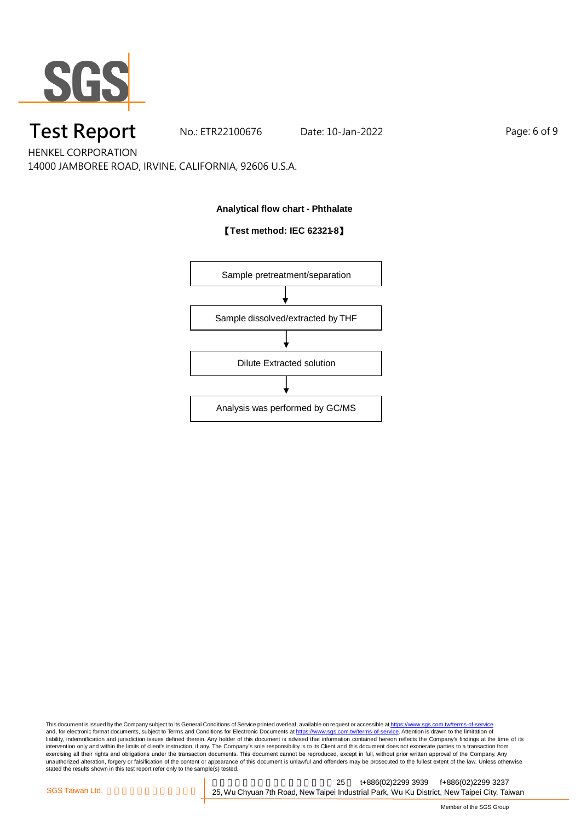

# **Test Report** No.: ETR22100676 Date: 10-Jan-2022 Page: 6 of 9

HENKEL CORPORATION 14000 JAMBOREE ROAD, IRVINE, CALIFORNIA, 92606 U.S.A.

#### **Analytical flow chart - Phthalate**

#### 【**Test method: IEC 62321-8**】



This document is issued by the Company subject to its General Conditions of Service printed overleaf, available on request or accessible at <u>https://www.sgs.com.tw/terms-of-service</u><br>and, for electronic format documents, su liability, indemnification and jurisdiction issues defined therein. Any holder of this document is advised that information contained hereon reflects the Company's findings at the time of its intervention only and within the limits of client's instruction, if any. The Company's sole responsibility is to its Client and this document does not exonerate parties to a transaction from exercising all their rights and obligations under the transaction documents. This document cannot be reproduced, except in full, without prior written approval of the Company. Any<br>unauthorized alteration, forgery or falsif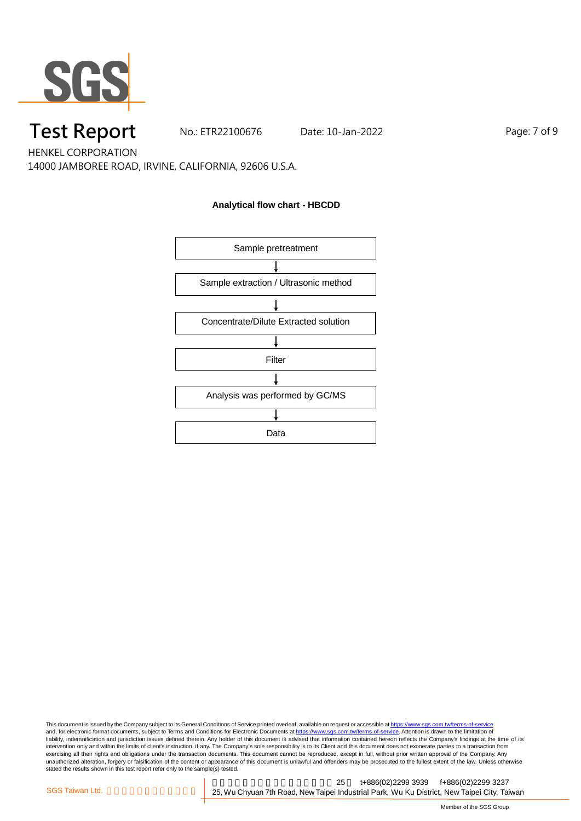

### **Test Report** No.: ETR22100676 Date: 10-Jan-2022 Page: 7 of 9

HENKEL CORPORATION 14000 JAMBOREE ROAD, IRVINE, CALIFORNIA, 92606 U.S.A.

#### **Analytical flow chart - HBCDD**



This document is issued by the Company subject to its General Conditions of Service printed overleaf, available on request or accessible at <u>https://www.sgs.com.tw/terms-of-service</u><br>and, for electronic format documents, su liability, indemnification and jurisdiction issues defined therein. Any holder of this document is advised that information contained hereon reflects the Company's findings at the time of its intervention only and within the limits of client's instruction, if any. The Company's sole responsibility is to its Client and this document does not exonerate parties to a transaction from exercising all their rights and obligations under the transaction documents. This document cannot be reproduced, except in full, without prior written approval of the Company. Any<br>unauthorized alteration, forgery or falsif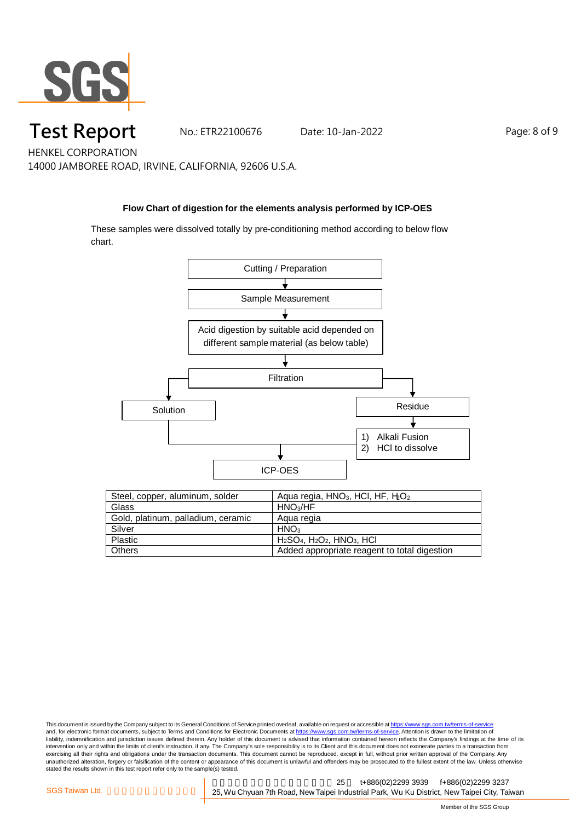

# **Test Report** No.: ETR22100676 Date: 10-Jan-2022 Page: 8 of 9

HENKEL CORPORATION 14000 JAMBOREE ROAD, IRVINE, CALIFORNIA, 92606 U.S.A.

#### **Flow Chart of digestion for the elements analysis performed by ICP-OES**

These samples were dissolved totally by pre-conditioning method according to below flow chart.



| Steel, copper, aluminum, solder    | Aqua regia, $HNO3$ , HCI, HF, $H2$           |
|------------------------------------|----------------------------------------------|
| Glass                              | HNO <sub>3</sub> /HF                         |
| Gold, platinum, palladium, ceramic | Agua regia                                   |
| Silver                             | HNO <sub>3</sub>                             |
| Plastic                            | $H2SO4$ , $H2O2$ , $HNO3$ , $HCl$            |
| <b>Others</b>                      | Added appropriate reagent to total digestion |

This document is issued by the Company subject to its General Conditions of Service printed overleaf, available on request or accessible at <u>https://www.sgs.com.tw/terms-of-service</u><br>and, for electronic format documents, su liability, indemnification and jurisdiction issues defined therein. Any holder of this document is advised that information contained hereon reflects the Company's findings at the time of its intervention only and within the limits of client's instruction, if any. The Company's sole responsibility is to its Client and this document does not exonerate parties to a transaction from exercising all their rights and obligations under the transaction documents. This document cannot be reproduced, except in full, without prior written approval of the Company. Any<br>unauthorized alteration, forgery or falsif